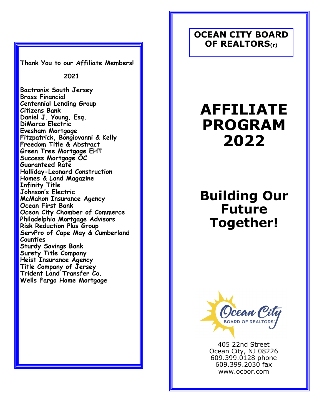**Thank You to our Affiliate Members!**

 **2021**

**Bactronix South Jersey Brass Financial Centennial Lending Group Citizens Bank Daniel J. Young, Esq. DiMarco Electric Evesham Mortgage Fitzpatrick, Bongiovanni & Kelly Freedom Title & Abstract Green Tree Mortgage EHT Success Mortgage OC Guaranteed Rate Halliday-Leonard Construction Homes & Land Magazine Infinity Title Johnson's Electric McMahon Insurance Agency Ocean First Bank Ocean City Chamber of Commerce Philadelphia Mortgage Advisors Risk Reduction Plus Group ServPro of Cape May & Cumberland Counties Sturdy Savings Bank Surety Title Company Heist Insurance Agency Title Company of Jersey Trident Land Transfer Co. Wells Fargo Home Mortgage**

### **OCEAN CITY BOARD OF REALTORS(r)**

# **AFFILIATE PROGRAM 2022**

## **Building Our Future Together!**



405 22nd Street Ocean City, NJ 08226 609.399.0128 phone 609.399.2030 fax www.ocbor.com